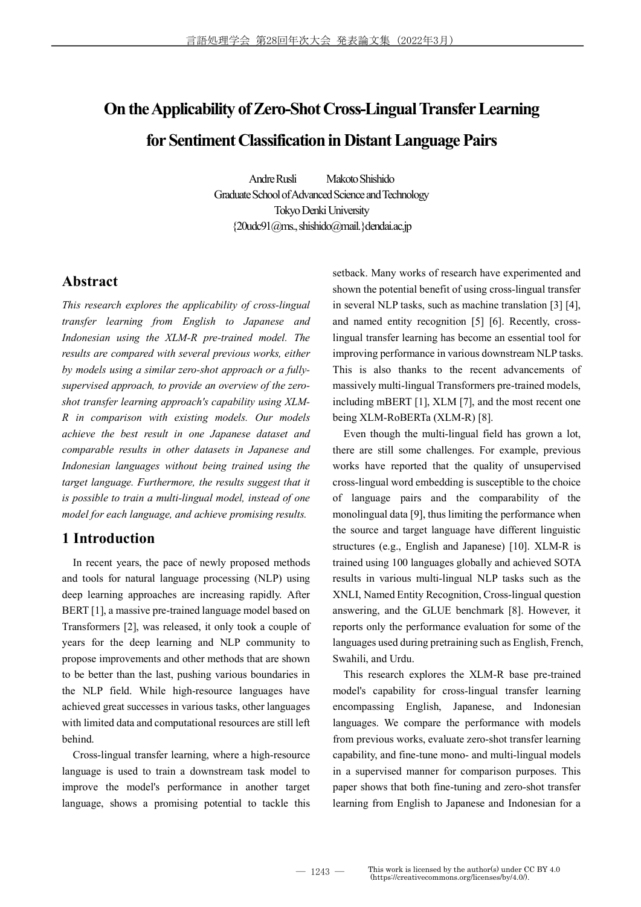# **On the Applicability of Zero-Shot Cross-Lingual Transfer Learning for Sentiment Classification in Distant Language Pairs**

Andre Rusli Makoto Shishido Graduate School of Advanced Science and Technology Tokyo Denki University {20udc91@ms., shishido@mail.}dendai.ac.jp

## **Abstract**

*This research explores the applicability of cross-lingual transfer learning from English to Japanese and Indonesian using the XLM-R pre-trained model. The results are compared with several previous works, either by models using a similar zero-shot approach or a fullysupervised approach, to provide an overview of the zeroshot transfer learning approach's capability using XLM-R in comparison with existing models. Our models achieve the best result in one Japanese dataset and comparable results in other datasets in Japanese and Indonesian languages without being trained using the*  target language. Furthermore, the results suggest that it *is possible to train a multi-lingual model, instead of one model for each language, and achieve promising results.*

## **1 Introduction**

In recent years, the pace of newly proposed methods and tools for natural language processing (NLP) using deep learning approaches are increasing rapidly. After BERT [1], a massive pre-trained language model based on Transformers [2], was released, it only took a couple of years for the deep learning and NLP community to propose improvements and other methods that are shown to be better than the last, pushing various boundaries in the NLP field. While high-resource languages have achieved great successes in various tasks, other languages with limited data and computational resources are still left behind.

Cross-lingual transfer learning, where a high-resource language is used to train a downstream task model to improve the model's performance in another target language, shows a promising potential to tackle this setback. Many works of research have experimented and shown the potential benefit of using cross-lingual transfer in several NLP tasks, such as machine translation [3] [4], and named entity recognition [5] [6]. Recently, crosslingual transfer learning has become an essential tool for improving performance in various downstream NLP tasks. This is also thanks to the recent advancements of massively multi-lingual Transformers pre-trained models, including mBERT [1], XLM [7], and the most recent one being XLM-RoBERTa (XLM-R) [8].

Even though the multi-lingual field has grown a lot, there are still some challenges. For example, previous works have reported that the quality of unsupervised cross-lingual word embedding is susceptible to the choice of language pairs and the comparability of the monolingual data [9], thus limiting the performance when the source and target language have different linguistic structures (e.g., English and Japanese) [10]. XLM-R is trained using 100 languages globally and achieved SOTA results in various multi-lingual NLP tasks such as the XNLI, Named Entity Recognition, Cross-lingual question answering, and the GLUE benchmark [8]. However, it reports only the performance evaluation for some of the languages used during pretraining such as English, French, Swahili, and Urdu.

This research explores the XLM-R base pre-trained model's capability for cross-lingual transfer learning encompassing English, Japanese, and Indonesian languages. We compare the performance with models from previous works, evaluate zero-shot transfer learning capability, and fine-tune mono- and multi-lingual models in a supervised manner for comparison purposes. This paper shows that both fine-tuning and zero-shot transfer learning from English to Japanese and Indonesian for a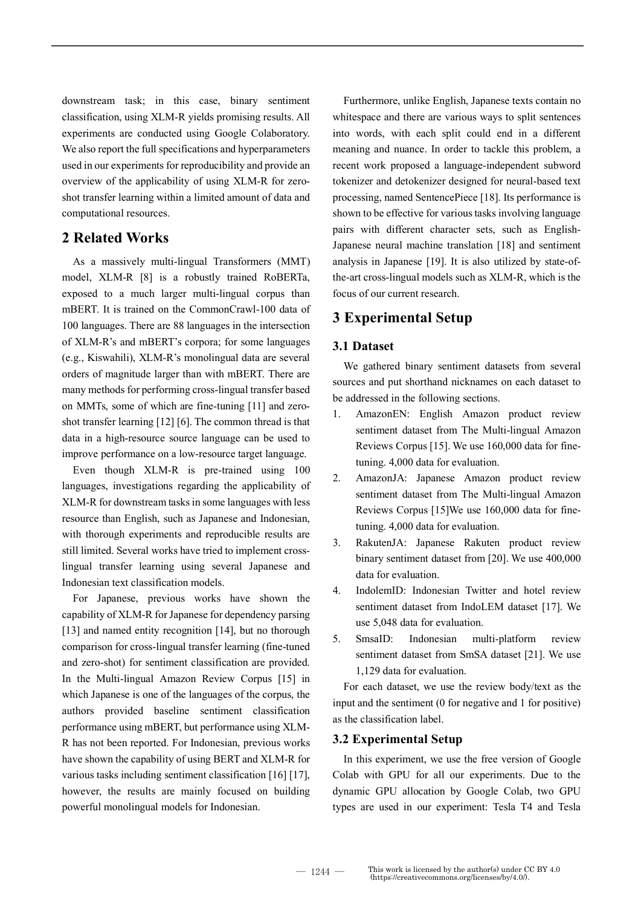downstream task; in this case, binary sentiment classification, using XLM-R yields promising results. All experiments are conducted using Google Colaboratory. We also report the full specifications and hyperparameters used in our experiments for reproducibility and provide an overview of the applicability of using XLM-R for zeroshot transfer learning within a limited amount of data and computational resources.

## **2 Related Works**

As a massively multi-lingual Transformers (MMT) model, XLM-R [8] is a robustly trained RoBERTa, exposed to a much larger multi-lingual corpus than mBERT. It is trained on the CommonCrawl-100 data of 100 languages. There are 88 languages in the intersection of XLM-R's and mBERT's corpora; for some languages (e.g., Kiswahili), XLM-R's monolingual data are several orders of magnitude larger than with mBERT. There are many methods for performing cross-lingual transfer based on MMTs, some of which are fine-tuning [11] and zeroshot transfer learning [12] [6]. The common thread is that data in a high-resource source language can be used to improve performance on a low-resource target language.

Even though XLM-R is pre-trained using 100 languages, investigations regarding the applicability of XLM-R for downstream tasks in some languages with less resource than English, such as Japanese and Indonesian, with thorough experiments and reproducible results are still limited. Several works have tried to implement crosslingual transfer learning using several Japanese and Indonesian text classification models.

For Japanese, previous works have shown the capability of XLM-R for Japanese for dependency parsing [13] and named entity recognition [14], but no thorough comparison for cross-lingual transfer learning (fine-tuned and zero-shot) for sentiment classification are provided. In the Multi-lingual Amazon Review Corpus [15] in which Japanese is one of the languages of the corpus, the authors provided baseline sentiment classification performance using mBERT, but performance using XLM-R has not been reported. For Indonesian, previous works have shown the capability of using BERT and XLM-R for various tasks including sentiment classification [16] [17], however, the results are mainly focused on building powerful monolingual models for Indonesian.

Furthermore, unlike English, Japanese texts contain no whitespace and there are various ways to split sentences into words, with each split could end in a different meaning and nuance. In order to tackle this problem, a recent work proposed a language-independent subword tokenizer and detokenizer designed for neural-based text processing, named SentencePiece [18]. Its performance is shown to be effective for various tasks involving language pairs with different character sets, such as English-Japanese neural machine translation [18] and sentiment analysis in Japanese [19]. It is also utilized by state-ofthe-art cross-lingual models such as XLM-R, which is the focus of our current research.

## **3 Experimental Setup**

### **3.1 Dataset**

We gathered binary sentiment datasets from several sources and put shorthand nicknames on each dataset to be addressed in the following sections.

- 1. AmazonEN: English Amazon product review sentiment dataset from The Multi-lingual Amazon Reviews Corpus [15]. We use 160,000 data for finetuning. 4,000 data for evaluation.
- 2. AmazonJA: Japanese Amazon product review sentiment dataset from The Multi-lingual Amazon Reviews Corpus [15]We use 160,000 data for finetuning. 4,000 data for evaluation.
- 3. RakutenJA: Japanese Rakuten product review binary sentiment dataset from [20]. We use 400,000 data for evaluation.
- 4. IndolemID: Indonesian Twitter and hotel review sentiment dataset from IndoLEM dataset [17]. We use 5,048 data for evaluation.
- 5. SmsaID: Indonesian multi-platform review sentiment dataset from SmSA dataset [21]. We use 1,129 data for evaluation.

For each dataset, we use the review body/text as the input and the sentiment (0 for negative and 1 for positive) as the classification label.

#### **3.2 Experimental Setup**

In this experiment, we use the free version of Google Colab with GPU for all our experiments. Due to the dynamic GPU allocation by Google Colab, two GPU types are used in our experiment: Tesla T4 and Tesla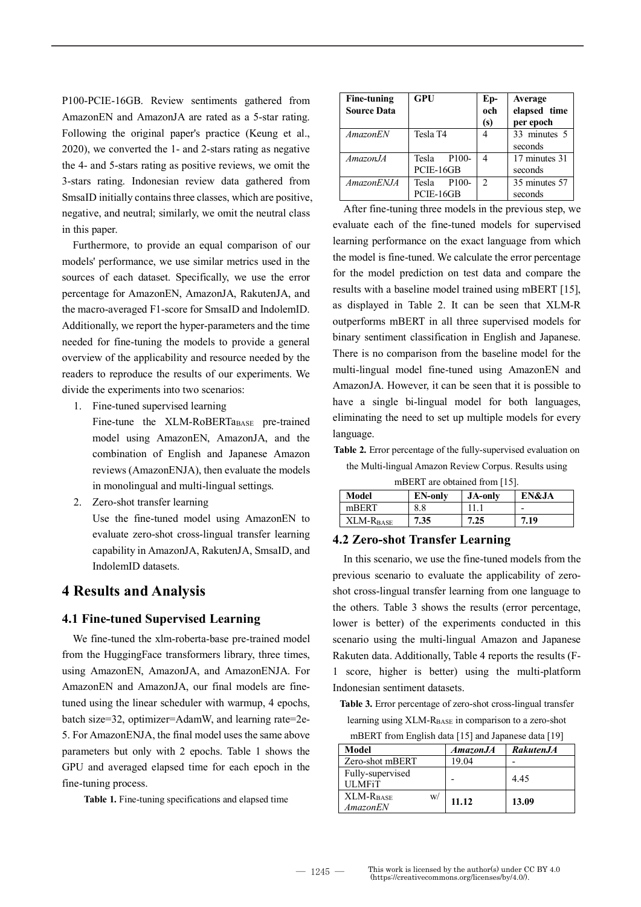P100-PCIE-16GB. Review sentiments gathered from AmazonEN and AmazonJA are rated as a 5-star rating. Following the original paper's practice (Keung et al., 2020), we converted the 1- and 2-stars rating as negative the 4- and 5-stars rating as positive reviews, we omit the 3-stars rating. Indonesian review data gathered from SmsaID initially contains three classes, which are positive, negative, and neutral; similarly, we omit the neutral class in this paper.

Furthermore, to provide an equal comparison of our models' performance, we use similar metrics used in the sources of each dataset. Specifically, we use the error percentage for AmazonEN, AmazonJA, RakutenJA, and the macro-averaged F1-score for SmsaID and IndolemID. Additionally, we report the hyper-parameters and the time needed for fine-tuning the models to provide a general overview of the applicability and resource needed by the readers to reproduce the results of our experiments. We divide the experiments into two scenarios:

1. Fine-tuned supervised learning

Fine-tune the XLM-RoBERTaBASE pre-trained model using AmazonEN, AmazonJA, and the combination of English and Japanese Amazon reviews (AmazonENJA), then evaluate the models in monolingual and multi-lingual settings.

2. Zero-shot transfer learning

Use the fine-tuned model using AmazonEN to evaluate zero-shot cross-lingual transfer learning capability in AmazonJA, RakutenJA, SmsaID, and IndolemID datasets.

## **4 Results and Analysis**

#### **4.1 Fine-tuned Supervised Learning**

We fine-tuned the xlm-roberta-base pre-trained model from the HuggingFace transformers library, three times, using AmazonEN, AmazonJA, and AmazonENJA. For AmazonEN and AmazonJA, our final models are finetuned using the linear scheduler with warmup, 4 epochs, batch size=32, optimizer=AdamW, and learning rate=2e-5. For AmazonENJA, the final model uses the same above parameters but only with 2 epochs. Table 1 shows the GPU and averaged elapsed time for each epoch in the fine-tuning process.

**Table 1.** Fine-tuning specifications and elapsed time

| Fine-tuning<br><b>Source Data</b> | GPU         | Ep-<br>och<br>(s)           | Average<br>elapsed time<br>per epoch |  |
|-----------------------------------|-------------|-----------------------------|--------------------------------------|--|
| AmazonEN                          | Tesla T4    |                             | 33 minutes 5                         |  |
|                                   |             |                             | seconds                              |  |
| Amazon.JA                         | Tesla P100- | 4                           | 17 minutes 31                        |  |
|                                   | PCIE-16GB   |                             | seconds                              |  |
| AmazonENJA                        | Tesla P100- | $\mathcal{D}_{\mathcal{A}}$ | 35 minutes 57                        |  |
|                                   | PCIE-16GB   |                             | seconds                              |  |

After fine-tuning three models in the previous step, we evaluate each of the fine-tuned models for supervised learning performance on the exact language from which the model is fine-tuned. We calculate the error percentage for the model prediction on test data and compare the results with a baseline model trained using mBERT [15], as displayed in Table 2. It can be seen that XLM-R outperforms mBERT in all three supervised models for binary sentiment classification in English and Japanese. There is no comparison from the baseline model for the multi-lingual model fine-tuned using AmazonEN and AmazonJA. However, it can be seen that it is possible to have a single bi-lingual model for both languages, eliminating the need to set up multiple models for every language.

**Table 2.** Error percentage of the fully-supervised evaluation on the Multi-lingual Amazon Review Corpus. Results using

|  | mBERT are obtained from [15]. |  |  |
|--|-------------------------------|--|--|
|  |                               |  |  |

| Model       | <b>EN-only</b> | <b>JA-only</b> | EN&JA |
|-------------|----------------|----------------|-------|
| mBERT       | 8.8            |                | -     |
| $XLM-RBASE$ | 7.35           | 7.25           | 7.19  |

#### **4.2 Zero-shot Transfer Learning**

In this scenario, we use the fine-tuned models from the previous scenario to evaluate the applicability of zeroshot cross-lingual transfer learning from one language to the others. Table 3 shows the results (error percentage, lower is better) of the experiments conducted in this scenario using the multi-lingual Amazon and Japanese Rakuten data. Additionally, Table 4 reports the results (F-1 score, higher is better) using the multi-platform Indonesian sentiment datasets.

**Table 3.** Error percentage of zero-shot cross-lingual transfer learning using XLM-R<sub>BASE</sub> in comparison to a zero-shot mBERT from English data [15] and Japanese data [19]

| Model                               | AmazonJA | <b>RakutenJA</b> |  |
|-------------------------------------|----------|------------------|--|
| Zero-shot mBERT                     | 19.04    |                  |  |
| Fully-supervised<br><b>ULMFiT</b>   |          | 4.45             |  |
| <b>XLM-R</b> BASE<br>W/<br>AmazonEN | 11.12    | 13.09            |  |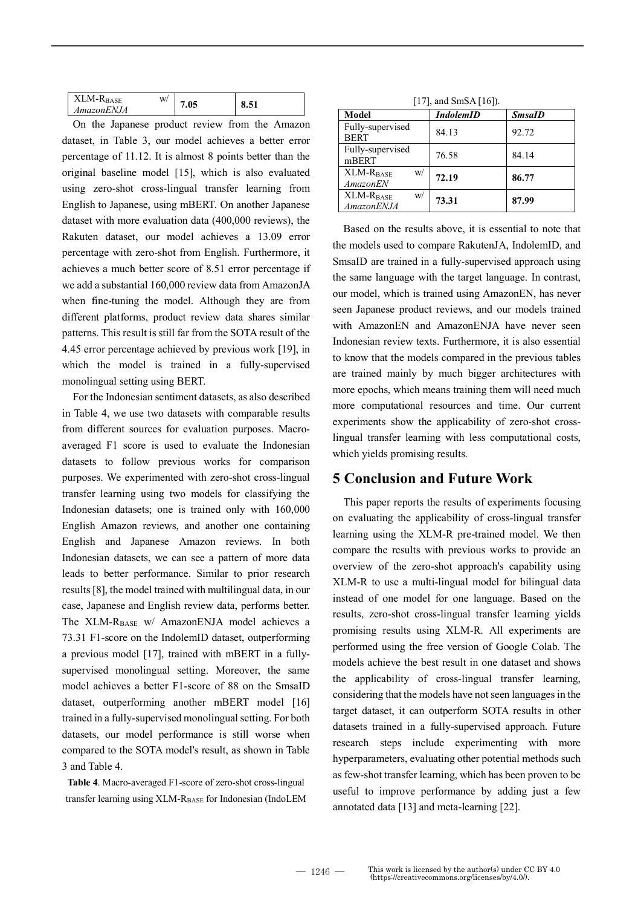| XLM-R <sub>BASE</sub><br>W/<br>AmazonENJA |  | 8.51 |
|-------------------------------------------|--|------|
|-------------------------------------------|--|------|

On the Japanese product review from the Amazon dataset, in Table 3, our model achieves a better error percentage of 11.12. It is almost 8 points better than the original baseline model [15], which is also evaluated using zero-shot cross-lingual transfer learning from English to Japanese, using mBERT. On another Japanese dataset with more evaluation data (400,000 reviews), the Rakuten dataset, our model achieves a 13.09 error percentage with zero-shot from English. Furthermore, it achieves a much better score of 8.51 error percentage if we add a substantial 160,000 review data from AmazonJA when fine-tuning the model. Although they are from different platforms, product review data shares similar patterns. This result is still far from the SOTA result of the 4.45 error percentage achieved by previous work [19], in which the model is trained in a fully-supervised monolingual setting using BERT.

For the Indonesian sentiment datasets, as also described in Table 4, we use two datasets with comparable results from different sources for evaluation purposes. Macroaveraged F1 score is used to evaluate the Indonesian datasets to follow previous works for comparison purposes. We experimented with zero-shot cross-lingual transfer learning using two models for classifying the Indonesian datasets; one is trained only with 160,000 English Amazon reviews, and another one containing English and Japanese Amazon reviews. In both Indonesian datasets, we can see a pattern of more data leads to better performance. Similar to prior research results [8], the model trained with multilingual data, in our case, Japanese and English review data, performs better. The XLM-RBASE w/ AmazonENJA model achieves a 73.31 F1-score on the IndolemID dataset, outperforming a previous model [17], trained with mBERT in a fullysupervised monolingual setting. Moreover, the same model achieves a better F1-score of 88 on the SmsaID dataset, outperforming another mBERT model [16] trained in a fully-supervised monolingual setting. For both datasets, our model performance is still worse when compared to the SOTA model's result, as shown in Table 3 and Table 4.

**Table 4**. Macro-averaged F1-score of zero-shot cross-lingual transfer learning using  $XLM-R<sub>BASE</sub>$  for Indonesian (IndoLEM

[17], and SmSA [16]).

| Model                                | <b>IndolemID</b> | <b>SmsaID</b> |
|--------------------------------------|------------------|---------------|
| Fully-supervised<br><b>BERT</b>      | 84.13            | 92.72         |
| Fully-supervised<br>mBERT            | 76.58            | 84.14         |
| <b>XLM-RBASE</b><br>W/<br>AmazonEN   | 72.19            | 86.77         |
| <b>XLM-RBASE</b><br>W/<br>AmazonENJA | 73.31            | 87.99         |

Based on the results above, it is essential to note that the models used to compare RakutenJA, IndolemID, and SmsaID are trained in a fully-supervised approach using the same language with the target language. In contrast, our model, which is trained using AmazonEN, has never seen Japanese product reviews, and our models trained with AmazonEN and AmazonENJA have never seen Indonesian review texts. Furthermore, it is also essential to know that the models compared in the previous tables are trained mainly by much bigger architectures with more epochs, which means training them will need much more computational resources and time. Our current experiments show the applicability of zero-shot crosslingual transfer learning with less computational costs, which yields promising results.

## **5 Conclusion and Future Work**

This paper reports the results of experiments focusing on evaluating the applicability of cross-lingual transfer learning using the XLM-R pre-trained model. We then compare the results with previous works to provide an overview of the zero-shot approach's capability using XLM-R to use a multi-lingual model for bilingual data instead of one model for one language. Based on the results, zero-shot cross-lingual transfer learning yields promising results using XLM-R. All experiments are performed using the free version of Google Colab. The models achieve the best result in one dataset and shows the applicability of cross-lingual transfer learning, considering that the models have not seen languages in the target dataset, it can outperform SOTA results in other datasets trained in a fully-supervised approach. Future research steps include experimenting with more hyperparameters, evaluating other potential methods such as few-shot transfer learning, which has been proven to be useful to improve performance by adding just a few annotated data [13] and meta-learning [22].